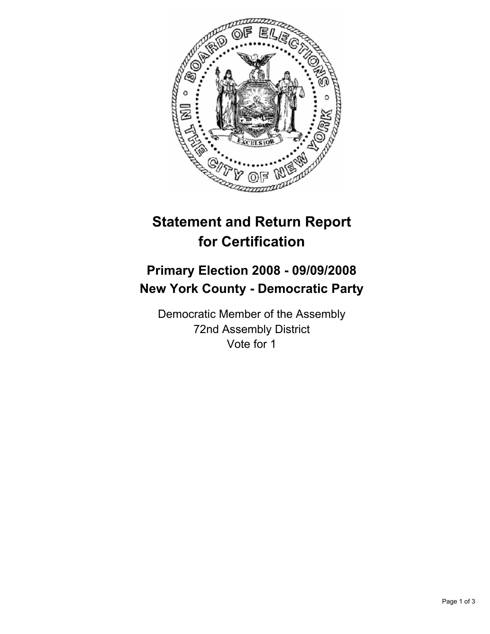

## **Statement and Return Report for Certification**

## **Primary Election 2008 - 09/09/2008 New York County - Democratic Party**

Democratic Member of the Assembly 72nd Assembly District Vote for 1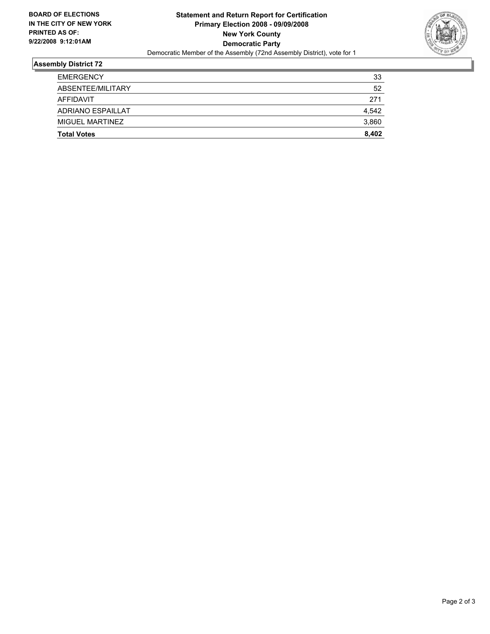

## **Assembly District 72**

| <b>Total Votes</b> | 8,402 |
|--------------------|-------|
| MIGUEL MARTINEZ    | 3,860 |
| ADRIANO ESPAILLAT  | 4,542 |
| AFFIDAVIT          | 271   |
| ABSENTEE/MILITARY  | 52    |
| <b>EMERGENCY</b>   | 33    |